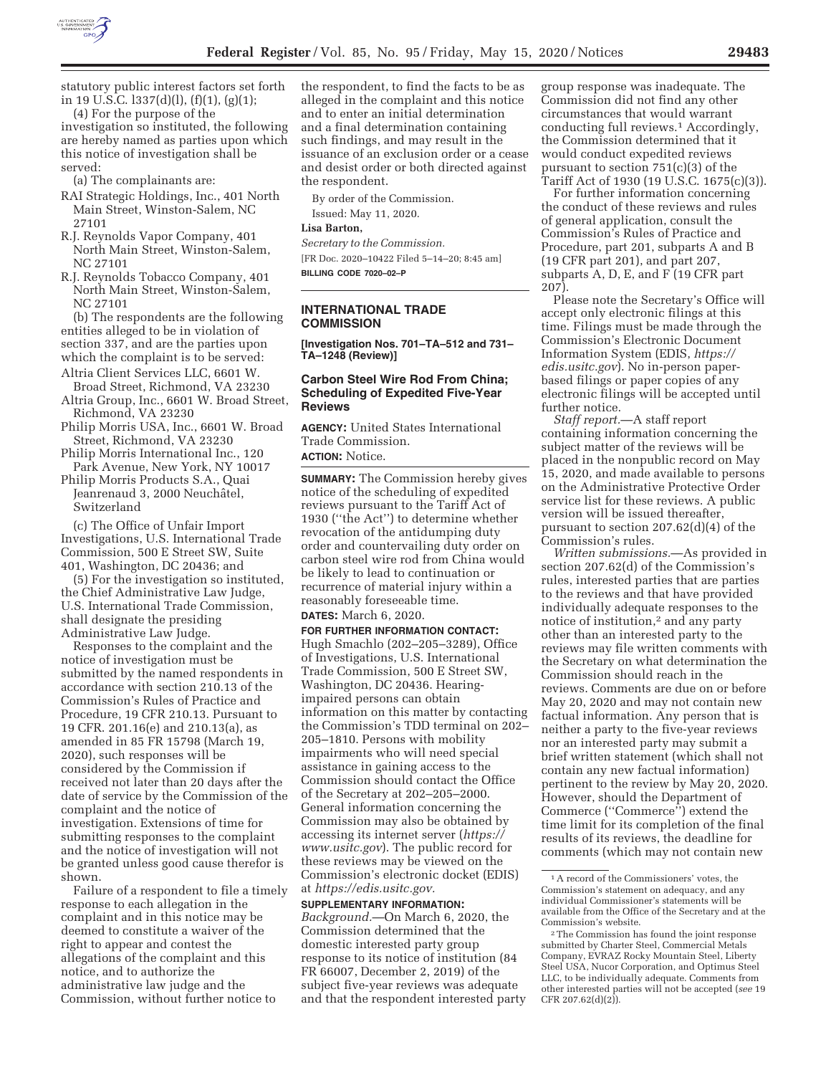

statutory public interest factors set forth in 19 U.S.C. l337(d)(l), (f)(1), (g)(1);

(4) For the purpose of the investigation so instituted, the following are hereby named as parties upon which this notice of investigation shall be served:

(a) The complainants are:

- RAI Strategic Holdings, Inc., 401 North Main Street, Winston-Salem, NC 27101
- R.J. Reynolds Vapor Company, 401 North Main Street, Winston-Salem, NC 27101
- R.J. Reynolds Tobacco Company, 401 North Main Street, Winston-Salem, NC 27101

(b) The respondents are the following entities alleged to be in violation of section 337, and are the parties upon which the complaint is to be served:

- Altria Client Services LLC, 6601 W. Broad Street, Richmond, VA 23230
- Altria Group, Inc., 6601 W. Broad Street, Richmond, VA 23230
- Philip Morris USA, Inc., 6601 W. Broad Street, Richmond, VA 23230
- Philip Morris International Inc., 120 Park Avenue, New York, NY 10017
- Philip Morris Products S.A., Quai Jeanrenaud 3, 2000 Neuchâtel, Switzerland

(c) The Office of Unfair Import Investigations, U.S. International Trade Commission, 500 E Street SW, Suite 401, Washington, DC 20436; and

(5) For the investigation so instituted, the Chief Administrative Law Judge, U.S. International Trade Commission, shall designate the presiding Administrative Law Judge.

Responses to the complaint and the notice of investigation must be submitted by the named respondents in accordance with section 210.13 of the Commission's Rules of Practice and Procedure, 19 CFR 210.13. Pursuant to 19 CFR. 201.16(e) and 210.13(a), as amended in 85 FR 15798 (March 19, 2020), such responses will be considered by the Commission if received not later than 20 days after the date of service by the Commission of the complaint and the notice of investigation. Extensions of time for submitting responses to the complaint and the notice of investigation will not be granted unless good cause therefor is shown.

Failure of a respondent to file a timely response to each allegation in the complaint and in this notice may be deemed to constitute a waiver of the right to appear and contest the allegations of the complaint and this notice, and to authorize the administrative law judge and the Commission, without further notice to

the respondent, to find the facts to be as alleged in the complaint and this notice and to enter an initial determination and a final determination containing such findings, and may result in the issuance of an exclusion order or a cease and desist order or both directed against the respondent.

By order of the Commission.

Issued: May 11, 2020.

#### **Lisa Barton,**

*Secretary to the Commission.*  [FR Doc. 2020–10422 Filed 5–14–20; 8:45 am] **BILLING CODE 7020–02–P** 

#### **INTERNATIONAL TRADE COMMISSION**

**[Investigation Nos. 701–TA–512 and 731– TA–1248 (Review)]** 

## **Carbon Steel Wire Rod From China; Scheduling of Expedited Five-Year Reviews**

**AGENCY:** United States International Trade Commission.

**ACTION:** Notice.

**SUMMARY:** The Commission hereby gives notice of the scheduling of expedited reviews pursuant to the Tariff Act of 1930 (''the Act'') to determine whether revocation of the antidumping duty order and countervailing duty order on carbon steel wire rod from China would be likely to lead to continuation or recurrence of material injury within a reasonably foreseeable time.

## **DATES:** March 6, 2020.

**FOR FURTHER INFORMATION CONTACT:**  Hugh Smachlo (202–205–3289), Office of Investigations, U.S. International Trade Commission, 500 E Street SW, Washington, DC 20436. Hearingimpaired persons can obtain information on this matter by contacting the Commission's TDD terminal on 202– 205–1810. Persons with mobility impairments who will need special assistance in gaining access to the Commission should contact the Office of the Secretary at 202–205–2000. General information concerning the Commission may also be obtained by accessing its internet server (*https:// www.usitc.gov*). The public record for these reviews may be viewed on the Commission's electronic docket (EDIS) at *https://edis.usitc.gov.* 

#### **SUPPLEMENTARY INFORMATION:**

*Background.*—On March 6, 2020, the Commission determined that the domestic interested party group response to its notice of institution (84 FR 66007, December 2, 2019) of the subject five-year reviews was adequate and that the respondent interested party group response was inadequate. The Commission did not find any other circumstances that would warrant conducting full reviews.1 Accordingly, the Commission determined that it would conduct expedited reviews pursuant to section 751(c)(3) of the Tariff Act of 1930 (19 U.S.C. 1675(c)(3)).

For further information concerning the conduct of these reviews and rules of general application, consult the Commission's Rules of Practice and Procedure, part 201, subparts A and B (19 CFR part 201), and part 207, subparts A, D, E, and F (19 CFR part 207).

Please note the Secretary's Office will accept only electronic filings at this time. Filings must be made through the Commission's Electronic Document Information System (EDIS, *https:// edis.usitc.gov*). No in-person paperbased filings or paper copies of any electronic filings will be accepted until further notice.

*Staff report.*—A staff report containing information concerning the subject matter of the reviews will be placed in the nonpublic record on May 15, 2020, and made available to persons on the Administrative Protective Order service list for these reviews. A public version will be issued thereafter, pursuant to section 207.62(d)(4) of the Commission's rules.

*Written submissions.*—As provided in section 207.62(d) of the Commission's rules, interested parties that are parties to the reviews and that have provided individually adequate responses to the notice of institution,2 and any party other than an interested party to the reviews may file written comments with the Secretary on what determination the Commission should reach in the reviews. Comments are due on or before May 20, 2020 and may not contain new factual information. Any person that is neither a party to the five-year reviews nor an interested party may submit a brief written statement (which shall not contain any new factual information) pertinent to the review by May 20, 2020. However, should the Department of Commerce (''Commerce'') extend the time limit for its completion of the final results of its reviews, the deadline for comments (which may not contain new

<sup>1</sup>A record of the Commissioners' votes, the Commission's statement on adequacy, and any individual Commissioner's statements will be available from the Office of the Secretary and at the Commission's website.

<sup>2</sup>The Commission has found the joint response submitted by Charter Steel, Commercial Metals Company, EVRAZ Rocky Mountain Steel, Liberty Steel USA, Nucor Corporation, and Optimus Steel LLC, to be individually adequate. Comments from other interested parties will not be accepted (*see* 19 CFR 207.62 $(d)(2)$ ).